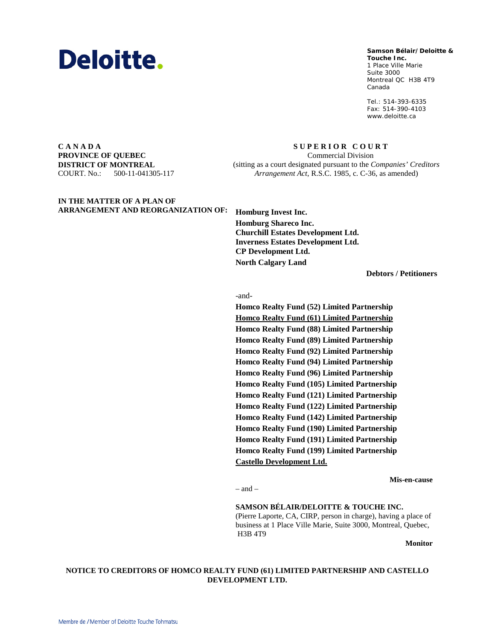

## **Samson Bélair/Deloitte & Samson Bélair/Deloitte &**

**Touche Inc. Touche Inc.** 1, Place Ville Marie 1 Place Ville Marie Suite 3000 Montréal QC H3B 4T9 Montreal QC H3B 4T9 Canada Canada

Tél. : 514-393-6335 Tel.: 514-393-6335 Téléc. : 514-390-4103 Fax: 514-390-4103 www.deloitte.ca www.deloitte.ca

**C A N A D A PROVINCE OF QUEBEC DISTRICT OF MONTREAL** COURT. No.: 500-11-041305-117

**IN THE MATTER OF A PLAN OF** 

*Arrangement Act*, R.S.C. 1985, c. C-36, as amended)

**S U P E R I O R C O U R T** Commercial Division (sitting as a court designated pursuant to the *Companies' Creditors* 

**ARRANGEMENT AND REORGANIZATION OF: Homburg Invest Inc. Homburg Shareco Inc. Churchill Estates Development Ltd. Inverness Estates Development Ltd. CP Development Ltd. North Calgary Land**

**Debtors / Petitioners**

-and-

**Homco Realty Fund (52) Limited Partnership Homco Realty Fund (61) Limited Partnership Homco Realty Fund (88) Limited Partnership Homco Realty Fund (89) Limited Partnership Homco Realty Fund (92) Limited Partnership Homco Realty Fund (94) Limited Partnership Homco Realty Fund (96) Limited Partnership Homco Realty Fund (105) Limited Partnership Homco Realty Fund (121) Limited Partnership Homco Realty Fund (122) Limited Partnership Homco Realty Fund (142) Limited Partnership Homco Realty Fund (190) Limited Partnership Homco Realty Fund (191) Limited Partnership Homco Realty Fund (199) Limited Partnership Castello Development Ltd.**

**Mis-en-cause**

– and –

**SAMSON BÉLAIR/DELOITTE & TOUCHE INC.** (Pierre Laporte, CA, CIRP, person in charge), having a place of business at 1 Place Ville Marie, Suite 3000, Montreal, Quebec, H3B 4T9

**Monitor**

## **NOTICE TO CREDITORS OF HOMCO REALTY FUND (61) LIMITED PARTNERSHIP AND CASTELLO DEVELOPMENT LTD.**